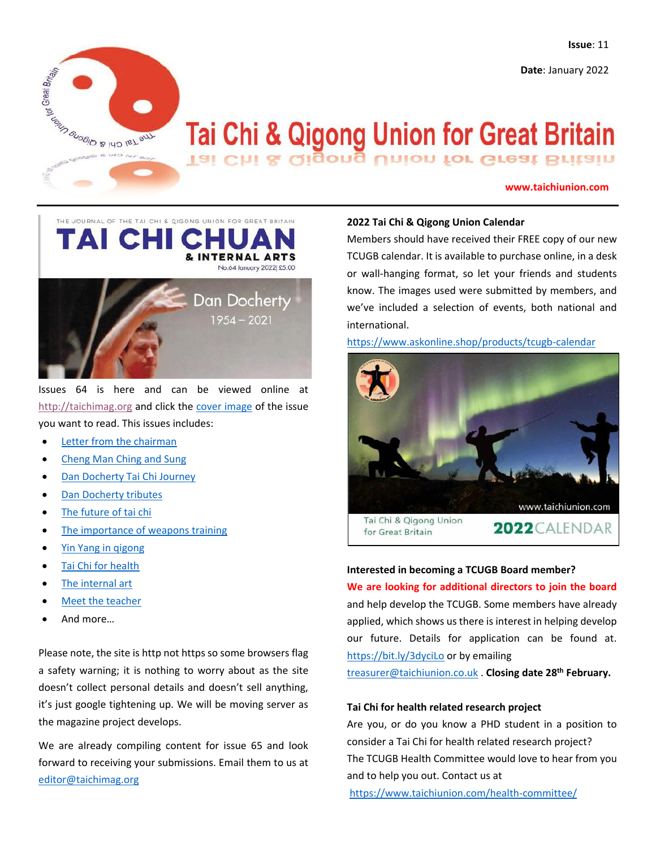**Date**: January 2022



# **Tai Chi & Qigong Union for Great Britain** Tai Chi & Qigong Union for Great Britain

## **www.taichiunion.com**



Issues 64 is here and can be viewed online at [http://taichimag.org](http://taichimag.org/) and click the [cover image](http://taichimag.org/TCC&IA-64.html) of the issue you want to read. This issues includes:

- [Letter from the chairman](http://taichimag.org/Taichimag.org/TCC&IA-no64%20page%2005%20chairman.pdf)
- [Cheng Man Ching and Sung](http://taichimag.org/TCC&IA-no64%20page%2022%20CMC%20Song.pdf)
- [Dan Docherty Tai Chi Journey](http://taichimag.org/TCC&IA-no64%20page%2007%20dan%20docherty.pdf)
- [Dan Docherty tributes](http://taichimag.org/TCC&IA-no64%20page%2011%20dan%20docherty%20tributes.pdf)
- [The future of tai chi](http://taichimag.org/TCC&IA-no64%20page%2013%20the%20future.pdf)
- [The importance of weapons training](http://taichimag.org/TCC&IA-no64%20page%2023%20tai%20chi%20weapons.pdf)
- [Yin Yang in qigong](http://taichimag.org/tcc&ia-64-Qigong.jpg)
- [Tai Chi for health](http://taichimag.org/TCC&IA-no64%20page%2020%20health.pdf)
- [The internal art](http://taichimag.org/TC&OA-no63%20page%2032%20health.pdf)
- [Meet the teacher](http://taichimag.org/TCC&IA-no64%20page%2028%20meet%20the%20teacher.pdf)
- And more…

Please note, the site is http not https so some browsers flag a safety warning; it is nothing to worry about as the site doesn't collect personal details and doesn't sell anything, it's just google tightening up. We will be moving server as the magazine project develops.

We are already compiling content for issue 65 and look forward to receiving your submissions. Email them to us at [editor@taichimag.org](mailto:editor@taichimag.org)

## **2022 Tai Chi & Qigong Union Calendar**

Members should have received their FREE copy of our new TCUGB calendar. It is available to purchase online, in a desk or wall-hanging format, so let your friends and students know. The images used were submitted by members, and we've included a selection of events, both national and international.

<https://www.askonline.shop/products/tcugb-calendar>



## **Interested in becoming a TCUGB Board member?**

**We are looking for additional directors to join the board** and help develop the TCUGB. Some members have already applied, which shows us there is interest in helping develop our future. Details for application can be found at. <https://bit.ly/3dyciLo> or by emailing [treasurer@taichiunion.co.uk](mailto:treasurer@taichiunion.co.uk) . **Closing date 28th February.**

## **Tai Chi for health related research project**

Are you, or do you know a PHD student in a position to consider a Tai Chi for health related research project? The TCUGB Health Committee would love to hear from you and to help you out. Contact us at

<https://www.taichiunion.com/health-committee/>